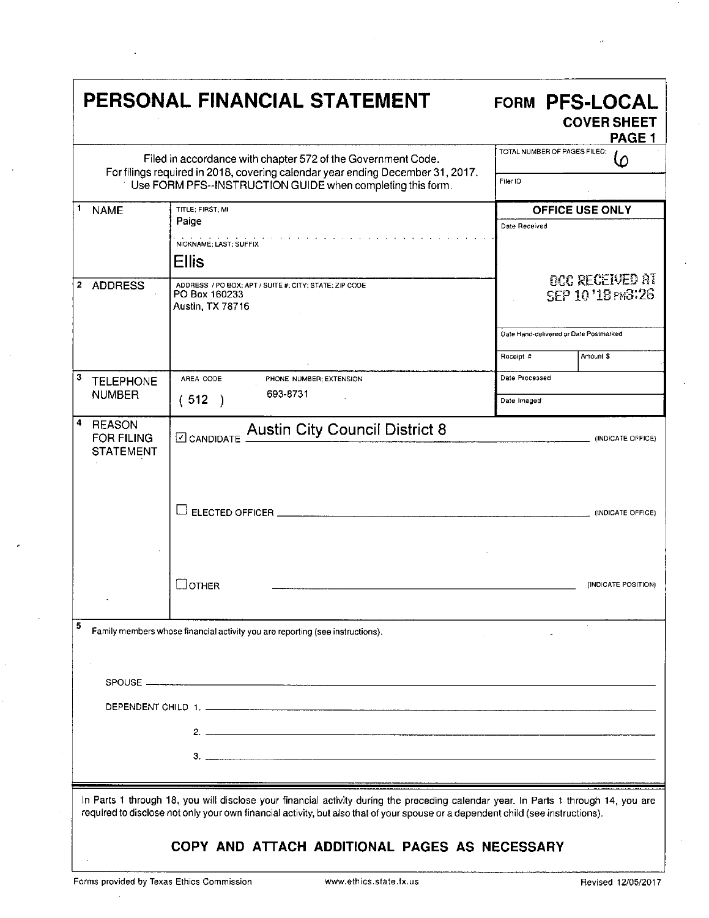|                                                                                                                                                                                                                                                                                                                          | PERSONAL FINANCIAL STATEMENT                                                                | FORM PFS-LOCAL<br><b>COVER SHEET</b><br>PAGE <sub>1</sub> |  |  |  |
|--------------------------------------------------------------------------------------------------------------------------------------------------------------------------------------------------------------------------------------------------------------------------------------------------------------------------|---------------------------------------------------------------------------------------------|-----------------------------------------------------------|--|--|--|
| Filed in accordance with chapter 572 of the Government Code.<br>For filings required in 2018, covering calendar year ending December 31, 2017.                                                                                                                                                                           |                                                                                             | TOTAL NUMBER OF PAGES FILED:<br>Ω<br>Filer ID             |  |  |  |
| 1<br><b>NAME</b>                                                                                                                                                                                                                                                                                                         | Use FORM PFS--INSTRUCTION GUIDE when completing this form.<br>TITLE; FIRST: MI              | <b>OFFICE USE ONLY</b>                                    |  |  |  |
|                                                                                                                                                                                                                                                                                                                          | Paige                                                                                       | Date Received                                             |  |  |  |
|                                                                                                                                                                                                                                                                                                                          | NICKNAME, LAST, SUFFIX<br><b>Ellis</b>                                                      |                                                           |  |  |  |
| 2<br><b>ADDRESS</b>                                                                                                                                                                                                                                                                                                      | ADDRESS / PO BOX; APT / SUITE #; CITY; STATE; ZIP CODE<br>PO Box 160233<br>Austin, TX 78716 | <b>OCC RECEIVED AT</b><br>SEP 10'18 PM3:26                |  |  |  |
|                                                                                                                                                                                                                                                                                                                          |                                                                                             | Date Hand-delivered or Date Postmarked                    |  |  |  |
|                                                                                                                                                                                                                                                                                                                          |                                                                                             | Amount \$<br>Receipt #                                    |  |  |  |
| 3<br><b>TELEPHONE</b>                                                                                                                                                                                                                                                                                                    | AREA CODE<br>PHONE NUMBER; EXTENSION<br>693-8731                                            | Date Processed                                            |  |  |  |
| <b>NUMBER</b>                                                                                                                                                                                                                                                                                                            | (512)                                                                                       | Date Imaged                                               |  |  |  |
| 4<br><b>REASON</b><br><b>FOR FILING</b><br><b>STATEMENT</b>                                                                                                                                                                                                                                                              | <b>Austin City Council District 8</b><br>O CANDIDATE                                        | (INDICATE OFFICE)                                         |  |  |  |
|                                                                                                                                                                                                                                                                                                                          |                                                                                             | (INDICATE OFFICE)                                         |  |  |  |
|                                                                                                                                                                                                                                                                                                                          | _JOTHER                                                                                     | (INDICATE POSITION)                                       |  |  |  |
| 5<br>Family members whose financial activity you are reporting (see instructions).                                                                                                                                                                                                                                       |                                                                                             |                                                           |  |  |  |
|                                                                                                                                                                                                                                                                                                                          |                                                                                             |                                                           |  |  |  |
|                                                                                                                                                                                                                                                                                                                          |                                                                                             |                                                           |  |  |  |
|                                                                                                                                                                                                                                                                                                                          |                                                                                             |                                                           |  |  |  |
| $\frac{3}{2}$                                                                                                                                                                                                                                                                                                            |                                                                                             |                                                           |  |  |  |
|                                                                                                                                                                                                                                                                                                                          |                                                                                             |                                                           |  |  |  |
| In Parts 1 through 18, you will disclose your financial activity during the preceding calendar year. In Parts 1 through 14, you are<br>required to disclose not only your own financial activity, but also that of your spouse or a dependent child (see instructions).<br>COPY AND ATTACH ADDITIONAL PAGES AS NECESSARY |                                                                                             |                                                           |  |  |  |

÷,

 $\mathbb{R}^2$ 

 $\hat{\boldsymbol{\theta}}$ 

 $\ddot{\phantom{a}}$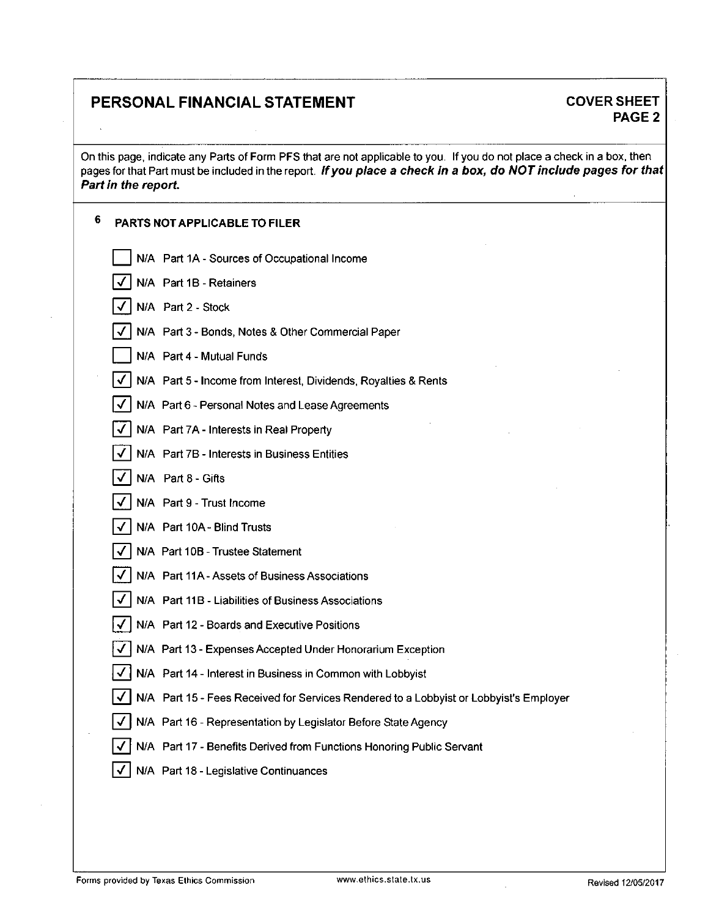### PERSONAL FINANCIAL STATEMENT COVER SHEET

# PAGE 2

On this page, indicate any Parts of Form PFS that are not applicable to you. If you do not place a check in a box, then pages for that Part must be included in the report. If you place a check in a box, do NOT include pages for that Part in the report.

| 6<br>PARTS NOT APPLICABLE TO FILER                                                     |  |
|----------------------------------------------------------------------------------------|--|
| N/A Part 1A - Sources of Occupational Income                                           |  |
| N/A Part 1B - Retainers                                                                |  |
| N/A Part 2 - Stock                                                                     |  |
| N/A Part 3 - Bonds, Notes & Other Commercial Paper                                     |  |
| N/A Part 4 - Mutual Funds                                                              |  |
| N/A Part 5 - Income from Interest, Dividends, Royalties & Rents                        |  |
| N/A Part 6 - Personal Notes and Lease Agreements                                       |  |
| N/A Part 7A - Interests in Real Property                                               |  |
| N/A Part 7B - Interests in Business Entities                                           |  |
| N/A Part 8 - Gifts                                                                     |  |
| N/A Part 9 - Trust Income                                                              |  |
| N/A Part 10A - Blind Trusts                                                            |  |
| N/A Part 10B - Trustee Statement                                                       |  |
| N/A Part 11A - Assets of Business Associations                                         |  |
| N/A Part 11B - Liabilities of Business Associations                                    |  |
| N/A Part 12 - Boards and Executive Positions                                           |  |
| N/A Part 13 - Expenses Accepted Under Honorarium Exception                             |  |
| N/A Part 14 - Interest in Business in Common with Lobbyist                             |  |
| N/A Part 15 - Fees Received for Services Rendered to a Lobbyist or Lobbyist's Employer |  |
| V   N/A Part 16 - Representation by Legislator Before State Agency                     |  |
| N/A Part 17 - Benefits Derived from Functions Honoring Public Servant                  |  |
| N/A Part 18 - Legislative Continuances                                                 |  |
|                                                                                        |  |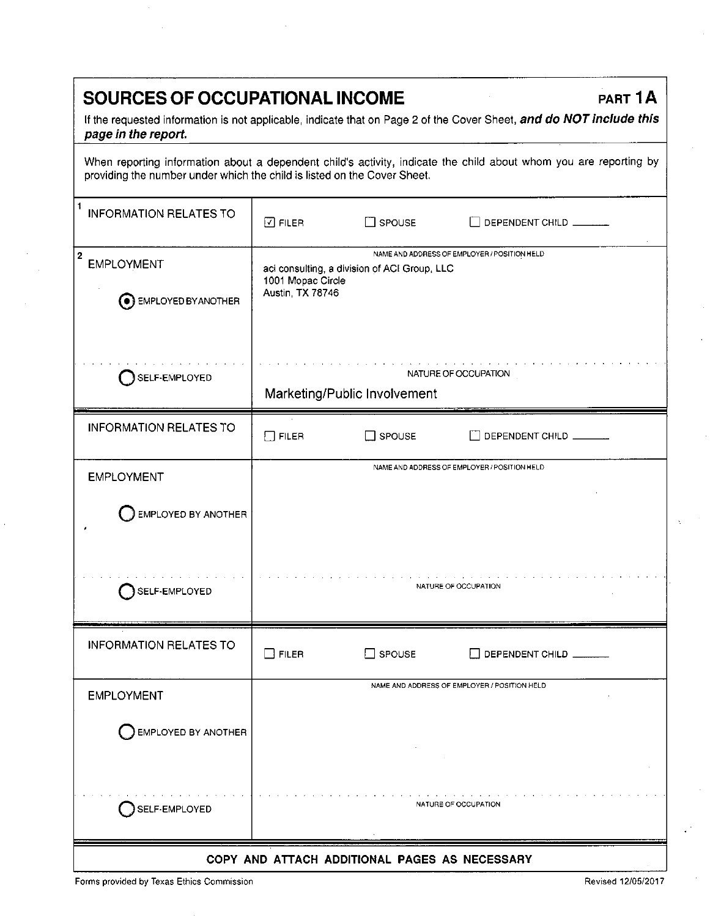## SOURCES OF OCCUPATIONAL INCOME **PART 1A**

If the requested information is not applicable, indicate that on Page 2 of the Cover Sheet, and do NOT include this page in the report.

When reporting information about a dependent child's activity, indicate the child about whom you are reporting by providing the number under which the child is listed on the Cover Sheet.

| $\mathbf{1}$<br><b>INFORMATION RELATES TO</b>                         | $\boxdot$ FILER                                      | $\square$ spouse                             | DEPENDENT CHILD                              |
|-----------------------------------------------------------------------|------------------------------------------------------|----------------------------------------------|----------------------------------------------|
| $\overline{2}$<br><b>EMPLOYMENT</b><br><b>(e)</b> EMPLOYED BY ANOTHER | 1001 Mopac Circle<br>Austin, TX 78746                | aci consulting, a division of ACI Group, LLC | NAME AND ADDRESS OF EMPLOYER / POSITION HELD |
| SELF-EMPLOYED                                                         | NATURE OF OCCUPATION<br>Marketing/Public Involvement |                                              |                                              |
| <b>INFORMATION RELATES TO</b>                                         | $\square$ FILER                                      | SPOUSE                                       | DEPENDENT CHILD                              |
| <b>EMPLOYMENT</b>                                                     |                                                      |                                              | NAME AND ADDRESS OF EMPLOYER / POSITION HELD |
| EMPLOYED BY ANOTHER                                                   |                                                      |                                              |                                              |
| SELF-EMPLOYED                                                         |                                                      |                                              | NATURE OF OCCUPATION                         |
| <b>INFORMATION RELATES TO</b>                                         | $\Box$ FILER                                         | $\Box$ SPOUSE                                | DEPENDENT CHILD                              |
| <b>EMPLOYMENT</b>                                                     |                                                      |                                              | NAME AND ADDRESS OF EMPLOYER / POSITION HELD |
| $\bigcirc$ EMPLOYED BY ANOTHER                                        |                                                      |                                              |                                              |
| SELF-EMPLOYED                                                         |                                                      |                                              | NATURE OF OCCUPATION                         |
| COPY AND ATTACH ADDITIONAL PAGES AS NECESSARY                         |                                                      |                                              |                                              |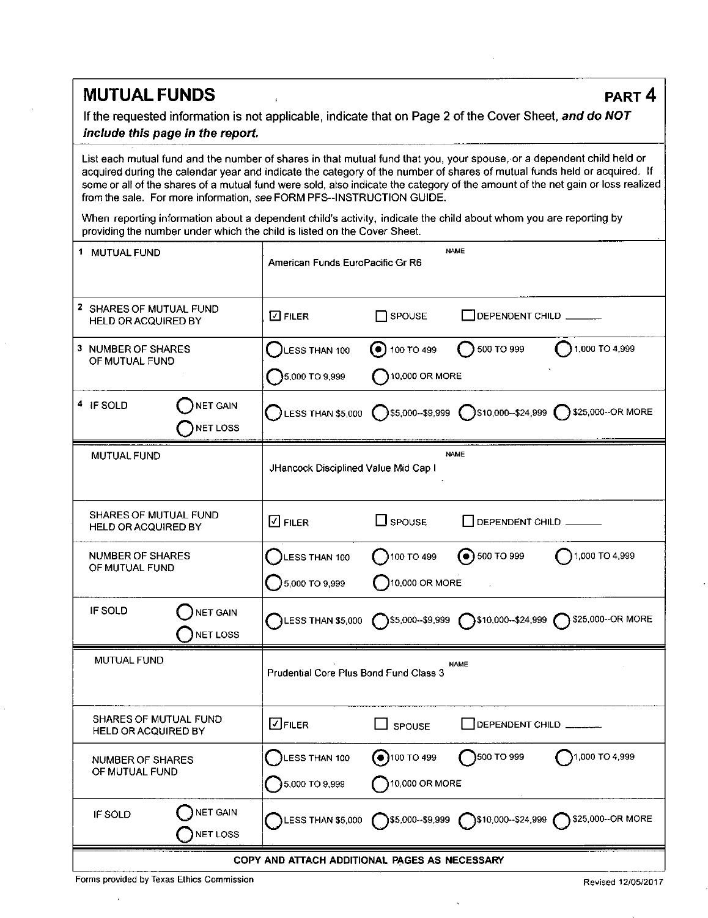### **MUTUAL FUNDS** PART 4

If the requested information is not applicable, indicate that on Page 2 of the Cover Sheet, and do NOT include this page in the report.

List each mutual fund and the number of shares in that mutual fund that you, your spouse, or a dependent child held or acquired during the calendar year and indicate the category of the number of shares of mutual funds held or acquired. If some or all of the shares of a mutual fund were sold, also indicate the category of the amount of the net gain or loss realized from the sale. For more information, see FORM PFS-INSTRUCTION GUIDE.

When reporting information about a dependent child's activity, indicate the child about whom you are reporting by providing the number under which the child is listed on the Cover Sheet.

|                                    | 1 MUTUAL FUND                                         | <b>NAME</b><br>American Funds EuroPacific Gr R6     |                                     |                    |                                                                                                       |
|------------------------------------|-------------------------------------------------------|-----------------------------------------------------|-------------------------------------|--------------------|-------------------------------------------------------------------------------------------------------|
|                                    | 2 SHARES OF MUTUAL FUND<br><b>HELD OR ACQUIRED BY</b> | $\square$ FILER                                     | $\Box$ SPOUSE                       | DEPENDENT CHILD    |                                                                                                       |
|                                    | 3 NUMBER OF SHARES<br>OF MUTUAL FUND                  | LESS THAN 100                                       | $\left( \bullet \right)$ 100 TO 499 | 500 TO 999         | 1,000 TO 4,999                                                                                        |
|                                    |                                                       | $5,000$ TO 9,999                                    | $\bigcap$ 10,000 OR MORE            |                    |                                                                                                       |
|                                    | 4 IF SOLD<br><b>NET GAIN</b><br>NET LOSS              |                                                     |                                     |                    | LESS THAN \$5,000 $\bigcap$ \$5,000--\$9,999 $\bigcap$ \$10,000--\$24,999 $\bigcap$ \$25,000--OR MORE |
|                                    | MUTUAL FUND                                           | <b>NAME</b><br>JHancock Disciplined Value Mid Cap I |                                     |                    |                                                                                                       |
|                                    | SHARES OF MUTUAL FUND<br><b>HELD OR ACQUIRED BY</b>   | $\square$ Filer                                     | $\square$ spouse                    | DEPENDENT CHILD    |                                                                                                       |
| NUMBER OF SHARES<br>OF MUTUAL FUND |                                                       | LESS THAN 100                                       | 100T0499                            | $\odot$ 500 TO 999 | 1,000 TO 4,999                                                                                        |
|                                    |                                                       | <b>3</b> 5,000 TO 9,999                             | 10,000 OR MORE                      |                    |                                                                                                       |
|                                    | IF SOLD<br>NET GAIN<br>NET LOSS                       | $\bigcap$ LESS THAN \$5,000                         |                                     |                    | S5,000-\$9,999 310,000-\$24,999 325,000-OR MORE                                                       |
|                                    | MUTUAL FUND                                           | Prudential Core Plus Bond Fund Class 3              |                                     | <b>NAME</b>        |                                                                                                       |
|                                    | SHARES OF MUTUAL FUND<br><b>HELD OR ACQUIRED BY</b>   | $\Box$ Filer                                        | SPOUSE                              | DEPENDENT CHILD    |                                                                                                       |
| NUMBER OF SHARES<br>OF MUTUAL FUND |                                                       | LESS THAN 100                                       | $\binom{100}{100}$ TO 499           | 500 TO 999         | 1,000 TO 4,999                                                                                        |
|                                    |                                                       | 5,000 TO 9,999<br>10,000 OR MORE                    |                                     |                    |                                                                                                       |
|                                    | NET GAIN<br>IF SOLD<br>NET LOSS                       |                                                     |                                     |                    | LESS THAN \$5,000 ( )\$5,000--\$9,999 ( )\$10,000--\$24,999 ( )\$25,000--OR MORE                      |
|                                    | COPY AND ATTACH ADDITIONAL PAGES AS NECESSARY         |                                                     |                                     |                    |                                                                                                       |

Forms provided by Texas Ethics Commission **Revised 12/05/2017** Commission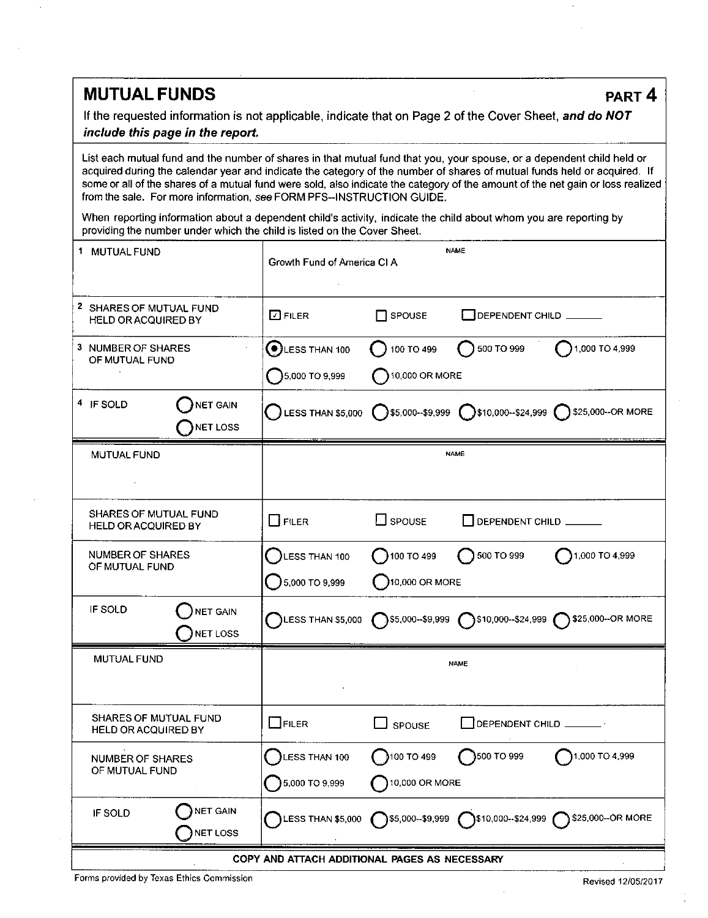### **MUTUAL FUNDS** PART 4

If the requested information is not applicable, indicate that on Page 2 of the Cover Sheet, and do NOT include this page in the report.

List each mutual fund and the number of shares in that mutual fund that you, your spouse, or a dependent child held or acquired during the calendar year and indicate the category of the number of shares of mutual funds held or acquired. If some or all of the shares of a mutual fund were sold, also indicate the category of the amount of the net gain or loss realized from the sale. For more information, see FORM PFS-INSTRUCTION GUIDE.

When reporting information about a dependent child's activity, indicate the child about whom you are reporting by providing the number under which the child is listed on the Cover Sheet.

| 1 MUTUAL FUND                                              | <b>NAME</b><br>Growth Fund of America CI A |                          |                         |                                                                                                       |
|------------------------------------------------------------|--------------------------------------------|--------------------------|-------------------------|-------------------------------------------------------------------------------------------------------|
| 2 SHARES OF MUTUAL FUND<br><b>HELD OR ACQUIRED BY</b>      | $\Box$ FILER                               | $\Box$ SPOUSE            | DEPENDENT CHILD ______  |                                                                                                       |
| 3 NUMBER OF SHARES<br>OF MUTUAL FUND                       | $\bigodot$ LESS THAN 100                   | 100 TO 499               | 500 TO 999              | $\binom{1,000}{1,000}$ TO 4,999                                                                       |
|                                                            | $5,000$ TO 9.999                           | $\bigcap$ 10,000 OR MORE |                         |                                                                                                       |
| 4 IF SOLD<br><b>NET GAIN</b><br>NET LOSS                   |                                            |                          |                         | C LESS THAN \$5,000 C \$5,000-\$9,999 C \$10,000-\$24,999 C \$25,000-OR MORE                          |
| <b>MUTUAL FUND</b>                                         | <b>NAME</b>                                |                          |                         |                                                                                                       |
|                                                            |                                            |                          |                         |                                                                                                       |
| SHARES OF MUTUAL FUND<br><b>HELD OR ACQUIRED BY</b>        | $\Box$ Filer                               | $\square$ spouse         | DEPENDENT CHILD         |                                                                                                       |
| NUMBER OF SHARES<br>OF MUTUAL FUND                         | LESS THAN 100                              | 100T0499                 | $\bigcap$ 500 TO 999    | 1,000 TO 4,999                                                                                        |
|                                                            | $5,000$ TO 9,999                           | 10,000 OR MORE           |                         |                                                                                                       |
| IF SOLD<br><b>NET GAIN</b><br>NET LOSS                     |                                            |                          |                         | LESS THAN \$5,000 $\bigcap$ \$5,000--\$9,999 $\bigcap$ \$10,000--\$24,999 $\bigcap$ \$25,000--OR MORE |
| <b>MUTUAL FUND</b>                                         |                                            |                          | <b>NAME</b>             |                                                                                                       |
|                                                            |                                            |                          |                         |                                                                                                       |
| <b>SHARES OF MUTUAL FUND</b><br><b>HELD OR ACQUIRED BY</b> | $\Box$ Filer                               | SPOUSE                   | DEPENDENT CHILD _______ |                                                                                                       |
| <b>NUMBER OF SHARES</b><br>OF MUTUAL FUND                  | LESS THAN 100                              | 100 TO 499               | }500 TO 999             | 1,000 TO 4,999                                                                                        |
|                                                            | 5,000 TO 9,999<br>10,000 OR MORE           |                          |                         |                                                                                                       |
| NET GAIN<br>IF SOLD<br><b>NET LOSS</b>                     |                                            |                          |                         | LESS THAN \$5,000 ( )\$5,000-\$9,999 ( )\$10,000--\$24,999 ( )\$25,000--OR MORE                       |
| COPY AND ATTACH ADDITIONAL PAGES AS NECESSARY              |                                            |                          |                         |                                                                                                       |

Forms provided by Texas Ethics Commission **Revised 12/05/2017** Revised 12/05/2017